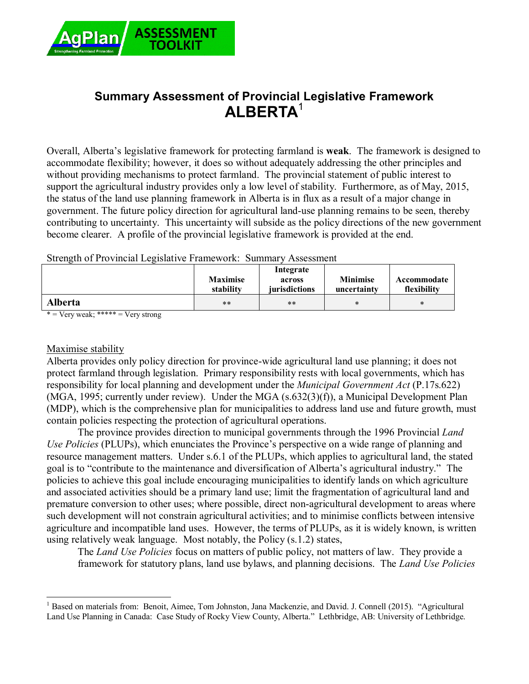

# **Summary Assessment of Provincial Legislative Framework ALBERTA**<sup>1</sup>

Overall, Alberta's legislative framework for protecting farmland is **weak**. The framework is designed to accommodate flexibility; however, it does so without adequately addressing the other principles and without providing mechanisms to protect farmland. The provincial statement of public interest to support the agricultural industry provides only a low level of stability. Furthermore, as of May, 2015, the status of the land use planning framework in Alberta is in flux as a result of a major change in government. The future policy direction for agricultural land-use planning remains to be seen, thereby contributing to uncertainty. This uncertainty will subside as the policy directions of the new government become clearer. A profile of the provincial legislative framework is provided at the end.

Strength of Provincial Legislative Framework: Summary Assessment

|         | <b>Maximise</b><br>stability | Integrate<br>across<br>jurisdictions | <b>Minimise</b><br>uncertainty | Accommodate<br>flexibility |
|---------|------------------------------|--------------------------------------|--------------------------------|----------------------------|
| Alberta | $***$                        | $**$                                 | ж                              | $^{\ast}$                  |

 $*$  = Very weak; \*\*\*\*\* = Very strong

### Maximise stability

 $\overline{a}$ 

Alberta provides only policy direction for province-wide agricultural land use planning; it does not protect farmland through legislation. Primary responsibility rests with local governments, which has responsibility for local planning and development under the *Municipal Government Act* (P.17s.622) (MGA, 1995; currently under review). Under the MGA (s.632(3)(f)), a Municipal Development Plan (MDP), which is the comprehensive plan for municipalities to address land use and future growth, must contain policies respecting the protection of agricultural operations.

The province provides direction to municipal governments through the 1996 Provincial *Land Use Policies* (PLUPs), which enunciates the Province's perspective on a wide range of planning and resource management matters. Under s.6.1 of the PLUPs, which applies to agricultural land, the stated goal is to "contribute to the maintenance and diversification of Alberta's agricultural industry." The policies to achieve this goal include encouraging municipalities to identify lands on which agriculture and associated activities should be a primary land use; limit the fragmentation of agricultural land and premature conversion to other uses; where possible, direct non-agricultural development to areas where such development will not constrain agricultural activities; and to minimise conflicts between intensive agriculture and incompatible land uses. However, the terms of PLUPs, as it is widely known, is written using relatively weak language. Most notably, the Policy (s.1.2) states,

The *Land Use Policies* focus on matters of public policy, not matters of law. They provide a framework for statutory plans, land use bylaws, and planning decisions. The *Land Use Policies*

<sup>1</sup> Based on materials from: Benoit, Aimee, Tom Johnston, Jana Mackenzie, and David. J. Connell (2015). "Agricultural Land Use Planning in Canada: Case Study of Rocky View County, Alberta." Lethbridge, AB: University of Lethbridge.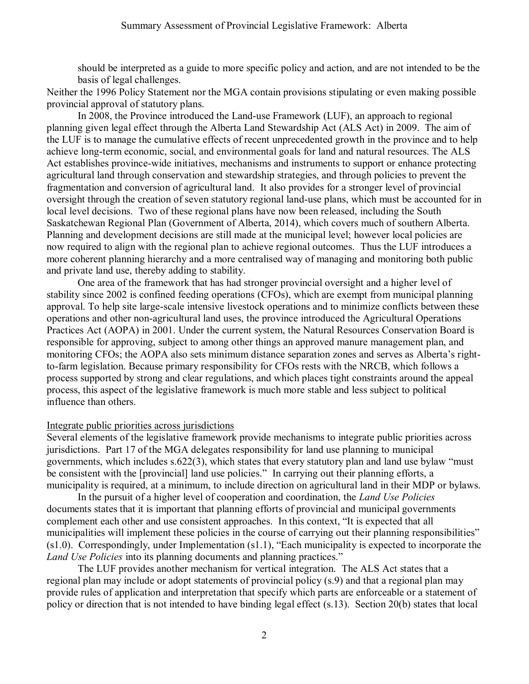should be interpreted as a guide to more specific policy and action, and are not intended to be the basis of legal challenges.

Neither the 1996 Policy Statement nor the MGA contain provisions stipulating or even making possible provincial approval of statutory plans.

In 2008, the Province introduced the Land-use Framework (LUF), an approach to regional planning given legal effect through the Alberta Land Stewardship Act (ALS Act) in 2009. The aim of the LUF is to manage the cumulative effects of recent unprecedented growth in the province and to help achieve long-term economic, social, and environmental goals for land and natural resources. The ALS Act establishes province-wide initiatives, mechanisms and instruments to support or enhance protecting agricultural land through conservation and stewardship strategies, and through policies to prevent the fragmentation and conversion of agricultural land. It also provides for a stronger level of provincial oversight through the creation of seven statutory regional land-use plans, which must be accounted for in local level decisions. Two of these regional plans have now been released, including the South Saskatchewan Regional Plan (Government of Alberta, 2014), which covers much of southern Alberta. Planning and development decisions are still made at the municipal level; however local policies are now required to align with the regional plan to achieve regional outcomes. Thus the LUF introduces a more coherent planning hierarchy and a more centralised way of managing and monitoring both public and private land use, thereby adding to stability.

One area of the framework that has had stronger provincial oversight and a higher level of stability since 2002 is confined feeding operations (CFOs), which are exempt from municipal planning approval. To help site large-scale intensive livestock operations and to minimize conflicts between these operations and other non-agricultural land uses, the province introduced the Agricultural Operations Practices Act (AOPA) in 2001. Under the current system, the Natural Resources Conservation Board is responsible for approving, subject to among other things an approved manure management plan, and monitoring CFOs; the AOPA also sets minimum distance separation zones and serves as Alberta's rightto-farm legislation. Because primary responsibility for CFOs rests with the NRCB, which follows a process supported by strong and clear regulations, and which places tight constraints around the appeal process, this aspect of the legislative framework is much more stable and less subject to political influence than others.

#### Integrate public priorities across jurisdictions

Several elements of the legislative framework provide mechanisms to integrate public priorities across jurisdictions. Part 17 of the MGA delegates responsibility for land use planning to municipal governments, which includes s.622(3), which states that every statutory plan and land use bylaw "must be consistent with the [provincial] land use policies." In carrying out their planning efforts, a municipality is required, at a minimum, to include direction on agricultural land in their MDP or bylaws.

In the pursuit of a higher level of cooperation and coordination, the *Land Use Policies* documents states that it is important that planning efforts of provincial and municipal governments complement each other and use consistent approaches. In this context, "It is expected that all municipalities will implement these policies in the course of carrying out their planning responsibilities" (s1.0). Correspondingly, under Implementation (s1.1), "Each municipality is expected to incorporate the *Land Use Policies* into its planning documents and planning practices."

The LUF provides another mechanism for vertical integration. The ALS Act states that a regional plan may include or adopt statements of provincial policy (s.9) and that a regional plan may provide rules of application and interpretation that specify which parts are enforceable or a statement of policy or direction that is not intended to have binding legal effect (s.13). Section 20(b) states that local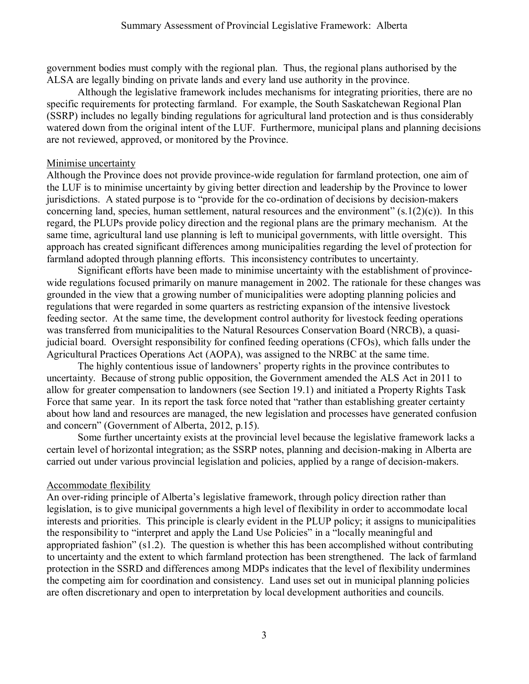government bodies must comply with the regional plan. Thus, the regional plans authorised by the ALSA are legally binding on private lands and every land use authority in the province.

Although the legislative framework includes mechanisms for integrating priorities, there are no specific requirements for protecting farmland. For example, the South Saskatchewan Regional Plan (SSRP) includes no legally binding regulations for agricultural land protection and is thus considerably watered down from the original intent of the LUF. Furthermore, municipal plans and planning decisions are not reviewed, approved, or monitored by the Province.

## Minimise uncertainty

Although the Province does not provide province-wide regulation for farmland protection, one aim of the LUF is to minimise uncertainty by giving better direction and leadership by the Province to lower jurisdictions. A stated purpose is to "provide for the co-ordination of decisions by decision-makers concerning land, species, human settlement, natural resources and the environment"  $(s.1(2)(c))$ . In this regard, the PLUPs provide policy direction and the regional plans are the primary mechanism. At the same time, agricultural land use planning is left to municipal governments, with little oversight. This approach has created significant differences among municipalities regarding the level of protection for farmland adopted through planning efforts. This inconsistency contributes to uncertainty.

Significant efforts have been made to minimise uncertainty with the establishment of provincewide regulations focused primarily on manure management in 2002. The rationale for these changes was grounded in the view that a growing number of municipalities were adopting planning policies and regulations that were regarded in some quarters as restricting expansion of the intensive livestock feeding sector. At the same time, the development control authority for livestock feeding operations was transferred from municipalities to the Natural Resources Conservation Board (NRCB), a quasijudicial board. Oversight responsibility for confined feeding operations (CFOs), which falls under the Agricultural Practices Operations Act (AOPA), was assigned to the NRBC at the same time.

The highly contentious issue of landowners' property rights in the province contributes to uncertainty. Because of strong public opposition, the Government amended the ALS Act in 2011 to allow for greater compensation to landowners (see Section 19.1) and initiated a Property Rights Task Force that same year. In its report the task force noted that "rather than establishing greater certainty about how land and resources are managed, the new legislation and processes have generated confusion and concern" (Government of Alberta, 2012, p.15).

Some further uncertainty exists at the provincial level because the legislative framework lacks a certain level of horizontal integration; as the SSRP notes, planning and decision-making in Alberta are carried out under various provincial legislation and policies, applied by a range of decision-makers.

## Accommodate flexibility

An over-riding principle of Alberta's legislative framework, through policy direction rather than legislation, is to give municipal governments a high level of flexibility in order to accommodate local interests and priorities. This principle is clearly evident in the PLUP policy; it assigns to municipalities the responsibility to "interpret and apply the Land Use Policies" in a "locally meaningful and appropriated fashion" (s1.2). The question is whether this has been accomplished without contributing to uncertainty and the extent to which farmland protection has been strengthened. The lack of farmland protection in the SSRD and differences among MDPs indicates that the level of flexibility undermines the competing aim for coordination and consistency. Land uses set out in municipal planning policies are often discretionary and open to interpretation by local development authorities and councils.